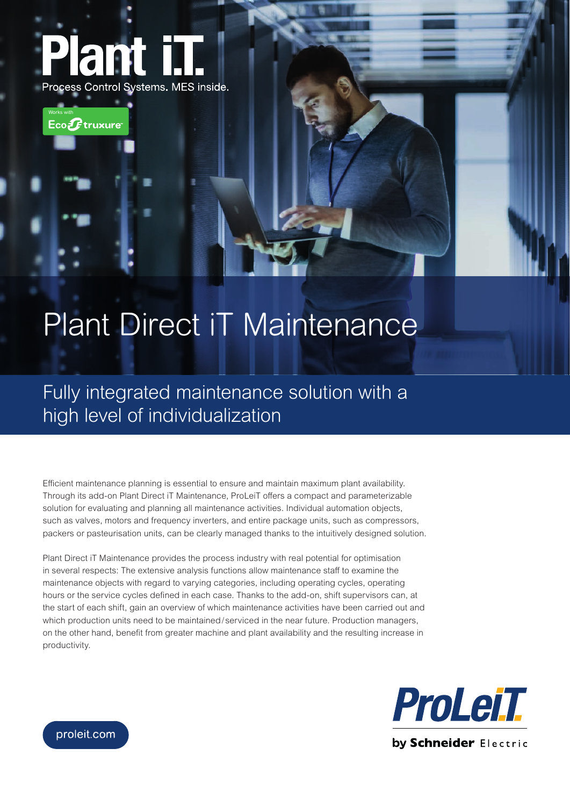



## Plant Direct iT Maintenance

Fully integrated maintenance solution with a high level of individualization

Efficient maintenance planning is essential to ensure and maintain maximum plant availability. Through its add-on Plant Direct iT Maintenance, ProLeiT offers a compact and parameterizable solution for evaluating and planning all maintenance activities. Individual automation objects, such as valves, motors and frequency inverters, and entire package units, such as compressors, packers or pasteurisation units, can be clearly managed thanks to the intuitively designed solution.

Plant Direct iT Maintenance provides the process industry with real potential for optimisation in several respects: The extensive analysis functions allow maintenance staff to examine the maintenance objects with regard to varying categories, including operating cycles, operating hours or the service cycles defined in each case. Thanks to the add-on, shift supervisors can, at the start of each shift, gain an overview of which maintenance activities have been carried out and which production units need to be maintained/serviced in the near future. Production managers, on the other hand, benefit from greater machine and plant availability and the resulting increase in productivity.



proleit.com